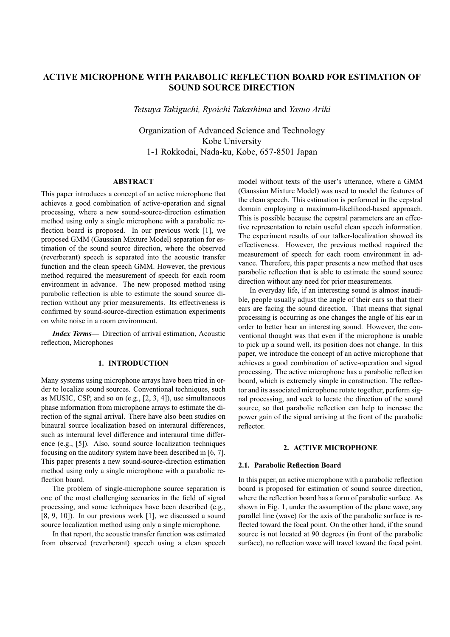# **ACTIVE MICROPHONE WITH PARABOLIC REFLECTION BOARD FOR ESTIMATION OF SOUND SOURCE DIRECTION**

*Tetsuya Takiguchi, Ryoichi Takashima* and *Yasuo Ariki*

Organization of Advanced Science and Technology Kobe University 1-1 Rokkodai, Nada-ku, Kobe, 657-8501 Japan

# **ABSTRACT**

This paper introduces a concept of an active microphone that achieves a good combination of active-operation and signal processing, where a new sound-source-direction estimation method using only a single microphone with a parabolic reflection board is proposed. In our previous work [1], we proposed GMM (Gaussian Mixture Model) separation for estimation of the sound source direction, where the observed (reverberant) speech is separated into the acoustic transfer function and the clean speech GMM. However, the previous method required the measurement of speech for each room environment in advance. The new proposed method using parabolic reflection is able to estimate the sound source direction without any prior measurements. Its effectiveness is confirmed by sound-source-direction estimation experiments on white noise in a room environment.

*Index Terms***—** Direction of arrival estimation, Acoustic reflection, Microphones

## **1. INTRODUCTION**

Many systems using microphone arrays have been tried in order to localize sound sources. Conventional techniques, such as MUSIC, CSP, and so on (e.g., [2, 3, 4]), use simultaneous phase information from microphone arrays to estimate the direction of the signal arrival. There have also been studies on binaural source localization based on interaural differences, such as interaural level difference and interaural time difference (e.g., [5]). Also, sound source localization techniques focusing on the auditory system have been described in [6, 7]. This paper presents a new sound-source-direction estimation method using only a single microphone with a parabolic reflection board.

The problem of single-microphone source separation is one of the most challenging scenarios in the field of signal processing, and some techniques have been described (e.g., [8, 9, 10]). In our previous work [1], we discussed a sound source localization method using only a single microphone.

In that report, the acoustic transfer function was estimated from observed (reverberant) speech using a clean speech model without texts of the user's utterance, where a GMM (Gaussian Mixture Model) was used to model the features of the clean speech. This estimation is performed in the cepstral domain employing a maximum-likelihood-based approach. This is possible because the cepstral parameters are an effective representation to retain useful clean speech information. The experiment results of our talker-localization showed its effectiveness. However, the previous method required the measurement of speech for each room environment in advance. Therefore, this paper presents a new method that uses parabolic reflection that is able to estimate the sound source direction without any need for prior measurements.

In everyday life, if an interesting sound is almost inaudible, people usually adjust the angle of their ears so that their ears are facing the sound direction. That means that signal processing is occurring as one changes the angle of his ear in order to better hear an interesting sound. However, the conventional thought was that even if the microphone is unable to pick up a sound well, its position does not change. In this paper, we introduce the concept of an active microphone that achieves a good combination of active-operation and signal processing. The active microphone has a parabolic reflection board, which is extremely simple in construction. The reflector and its associated microphone rotate together, perform signal processing, and seek to locate the direction of the sound source, so that parabolic reflection can help to increase the power gain of the signal arriving at the front of the parabolic reflector.

#### **2. ACTIVE MICROPHONE**

#### **2.1. Parabolic Reflection Board**

In this paper, an active microphone with a parabolic reflection board is proposed for estimation of sound source direction, where the reflection board has a form of parabolic surface. As shown in Fig. 1, under the assumption of the plane wave, any parallel line (wave) for the axis of the parabolic surface is reflected toward the focal point. On the other hand, if the sound source is not located at 90 degrees (in front of the parabolic surface), no reflection wave will travel toward the focal point.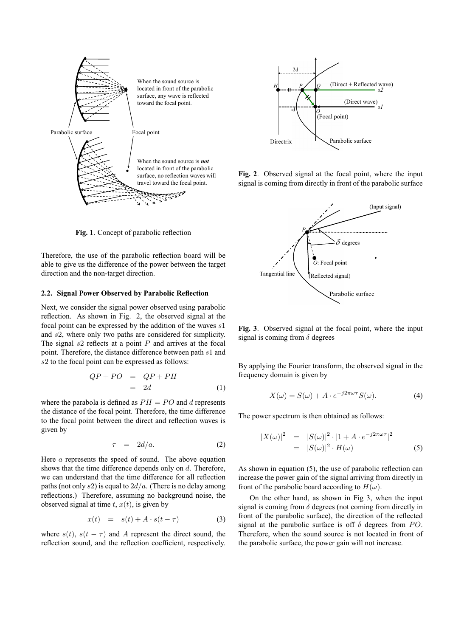

**Fig. 1**. Concept of parabolic reflection

Therefore, the use of the parabolic reflection board will be able to give us the difference of the power between the target direction and the non-target direction.

## **2.2. Signal Power Observed by Parabolic Reflection**

Next, we consider the signal power observed using parabolic reflection. As shown in Fig. 2, the observed signal at the focal point can be expressed by the addition of the waves s1 and s2, where only two paths are considered for simplicity. The signal  $s2$  reflects at a point  $P$  and arrives at the focal point. Therefore, the distance difference between path s1 and s2 to the focal point can be expressed as follows:

$$
QP + PO = QP + PH
$$

$$
= 2d \tag{1}
$$

where the parabola is defined as  $PH = PO$  and d represents the distance of the focal point. Therefore, the time difference to the focal point between the direct and reflection waves is given by

$$
\tau = 2d/a. \tag{2}
$$

Here  $a$  represents the speed of sound. The above equation shows that the time difference depends only on d. Therefore, we can understand that the time difference for all reflection paths (not only  $s2$ ) is equal to  $2d/a$ . (There is no delay among reflections.) Therefore, assuming no background noise, the observed signal at time  $t, x(t)$ , is given by

$$
x(t) = s(t) + A \cdot s(t - \tau) \tag{3}
$$

where  $s(t)$ ,  $s(t - \tau)$  and A represent the direct sound, the reflection sound, and the reflection coefficient, respectively.



**Fig. 2**. Observed signal at the focal point, where the input signal is coming from directly in front of the parabolic surface



**Fig. 3**. Observed signal at the focal point, where the input signal is coming from  $\delta$  degrees

By applying the Fourier transform, the observed signal in the frequency domain is given by

$$
X(\omega) = S(\omega) + A \cdot e^{-j2\pi\omega\tau} S(\omega). \tag{4}
$$

The power spectrum is then obtained as follows:

$$
|X(\omega)|^2 = |S(\omega)|^2 \cdot |1 + A \cdot e^{-j2\pi \omega \tau}|^2
$$
  
= 
$$
|S(\omega)|^2 \cdot H(\omega)
$$
 (5)

As shown in equation (5), the use of parabolic reflection can increase the power gain of the signal arriving from directly in front of the parabolic board according to  $H(\omega)$ .

On the other hand, as shown in Fig 3, when the input signal is coming from  $\delta$  degrees (not coming from directly in front of the parabolic surface), the direction of the reflected signal at the parabolic surface is off  $\delta$  degrees from PO. Therefore, when the sound source is not located in front of the parabolic surface, the power gain will not increase.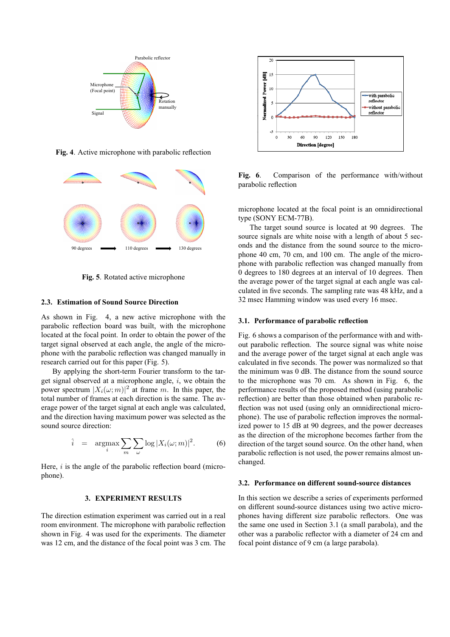

**Fig. 4**. Active microphone with parabolic reflection



**Fig. 5**. Rotated active microphone

## **2.3. Estimation of Sound Source Direction**

As shown in Fig. 4, a new active microphone with the parabolic reflection board was built, with the microphone located at the focal point. In order to obtain the power of the target signal observed at each angle, the angle of the microphone with the parabolic reflection was changed manually in research carried out for this paper (Fig. 5).

By applying the short-term Fourier transform to the target signal observed at a microphone angle,  $i$ , we obtain the power spectrum  $|X_i(\omega; m)|^2$  at frame m. In this paper, the total number of frames at each direction is the same. The average power of the target signal at each angle was calculated, and the direction having maximum power was selected as the sound source direction:

$$
\hat{i} = \underset{i}{\arg\max} \sum_{m} \sum_{\omega} \log |X_i(\omega; m)|^2. \tag{6}
$$

Here,  $i$  is the angle of the parabolic reflection board (microphone).

## **3. EXPERIMENT RESULTS**

The direction estimation experiment was carried out in a real room environment. The microphone with parabolic reflection shown in Fig. 4 was used for the experiments. The diameter was 12 cm, and the distance of the focal point was 3 cm. The



**Fig. 6**. Comparison of the performance with/without parabolic reflection

microphone located at the focal point is an omnidirectional type (SONY ECM-77B).

The target sound source is located at 90 degrees. The source signals are white noise with a length of about 5 seconds and the distance from the sound source to the microphone 40 cm, 70 cm, and 100 cm. The angle of the microphone with parabolic reflection was changed manually from 0 degrees to 180 degrees at an interval of 10 degrees. Then the average power of the target signal at each angle was calculated in five seconds. The sampling rate was 48 kHz, and a 32 msec Hamming window was used every 16 msec.

## **3.1. Performance of parabolic reflection**

Fig. 6 shows a comparison of the performance with and without parabolic reflection. The source signal was white noise and the average power of the target signal at each angle was calculated in five seconds. The power was normalized so that the minimum was 0 dB. The distance from the sound source to the microphone was 70 cm. As shown in Fig. 6, the performance results of the proposed method (using parabolic reflection) are better than those obtained when parabolic reflection was not used (using only an omnidirectional microphone). The use of parabolic reflection improves the normalized power to 15 dB at 90 degrees, and the power decreases as the direction of the microphone becomes farther from the direction of the target sound source. On the other hand, when parabolic reflection is not used, the power remains almost unchanged.

## **3.2. Performance on different sound-source distances**

In this section we describe a series of experiments performed on different sound-source distances using two active microphones having different size parabolic reflectors. One was the same one used in Section 3.1 (a small parabola), and the other was a parabolic reflector with a diameter of 24 cm and focal point distance of 9 cm (a large parabola).